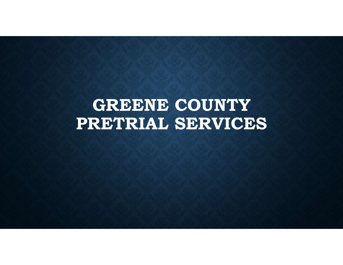# GREENE COUNTY PRETRIAL SERVICES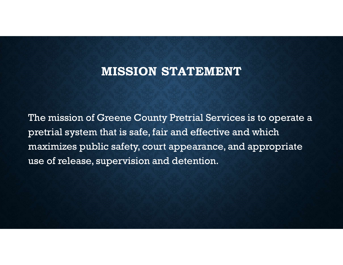# MISSION STATEMENT

The mission of Greene County Pretrial Services is to operate a pretrial system that is safe, fair and effective and which maximizes public safety, court appearance, and appropriate use of release, supervision and detention.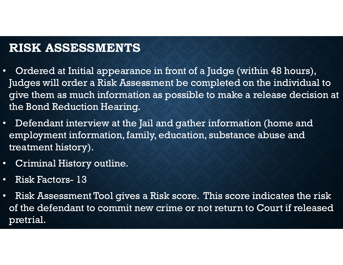# RISK ASSESSMENTS

- Ordered at Initial appearance in front of a Judge (within 48 hours), Judges will order a Risk Assessment be completed on the individual to give them as much information as possible to make a release decision at the Bond Reduction Hearing. • Ordered at Initial appearance in front of a Jue<br>Judges will order a Risk Assessment be complement<br>give them as much information as possible to<br>the Bond Reduction Hearing.<br>• Defendant interview at the Jail and gather in:<br>
- Defendant interview at the Jail and gather information (home and employment information, family, education, substance abuse and treatment history).
- Criminal History outline.
- 
- Risk Assessment Tool gives a Risk score. This score indicates the risk of the defendant to commit new crime or not return to Court if released pretrial.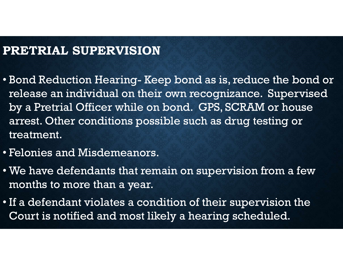#### PRETRIAL SUPERVISION

- **PRETRIAL SUPERVISION<br>• Bond Reduction Hearing- Keep bond as is, reduce the bond or<br>• release an individual on their own recognizance. Supervised<br>by a Pretrial Officer while on bond. GPS. SCRAM or house** release an individual on their own recognizance. Supervised **RETRIAL SUPERVISION**<br>Bond Reduction Hearing- Keep bond as is, reduce the bond or<br>release an individual on their own recognizance. Supervised<br>by a Pretrial Officer while on bond. GPS, SCRAM or house<br>arrest. Other condition arrest. Other conditions possible such as drug testing or treatment.
- Felonies and Misdemeanors.
- We have defendants that remain on supervision from a few months to more than a year.
- If a defendant violates a condition of their supervision the Court is notified and most likely a hearing scheduled.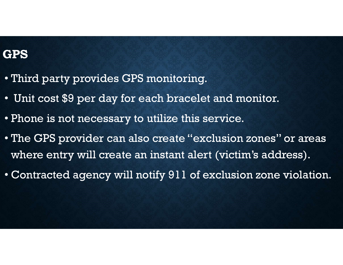# GPS

- Third party provides GPS monitoring.
- Unit cost \$9 per day for each bracelet and monitor.
- Phone is not necessary to utilize this service.
- The GPS provider can also create "exclusion zones" or areas where entry will create an instant alert (victim's address).
- Contracted agency will notify 911 of exclusion zone violation.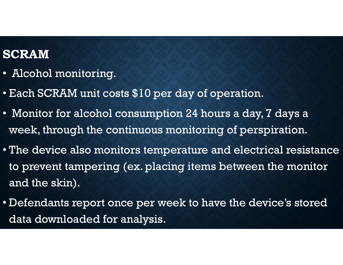### SCRAM

- Alcohol monitoring.
- Each SCRAM unit costs \$10 per day of operation.
- Monitor for alcohol consumption 24 hours a day, 7 days a week, through the continuous monitoring of perspiration.
- The device also monitors temperature and electrical resistance to prevent tampering (ex. placing items between the monitor and the skin).
- Defendants report once per week to have the device's stored data downloaded for analysis.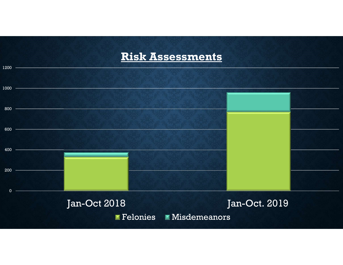#### Risk Assessments

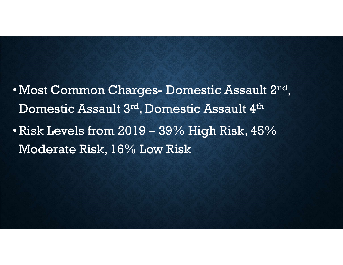- Most Common Charges- Domestic Assault 2nd  $\frac{1}{2}$ Domestic Assault 3rd, Domestic Assault 4th •Most Common Charges- Domestic Assault 2<sup>nd</sup>,<br>Domestic Assault 3<sup>rd</sup>, Domestic Assault 4<sup>th</sup><br>•Risk Levels from 2019 – 39% High Risk, 45%<br>Moderate Risk, 16% Low Risk
- Moderate Risk, 16% Low Risk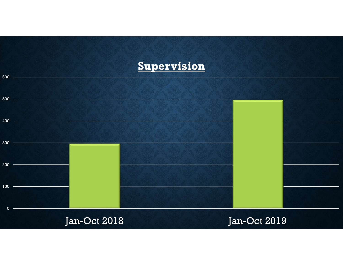### **Supervision**

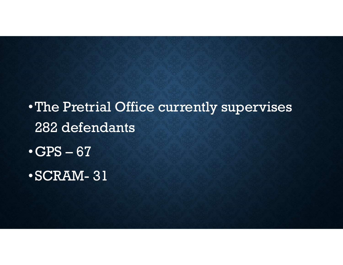•The Pretrial Office currently supervises 282 defendants •The Pretrial Office currently<br>•The Pretrial Office currently<br>•GPS – 67<br>•SCRAM- 31 The Pretrial Office currently su<br>
282 defendants<br>
•GPS – 67<br>
•SCRAM- 31